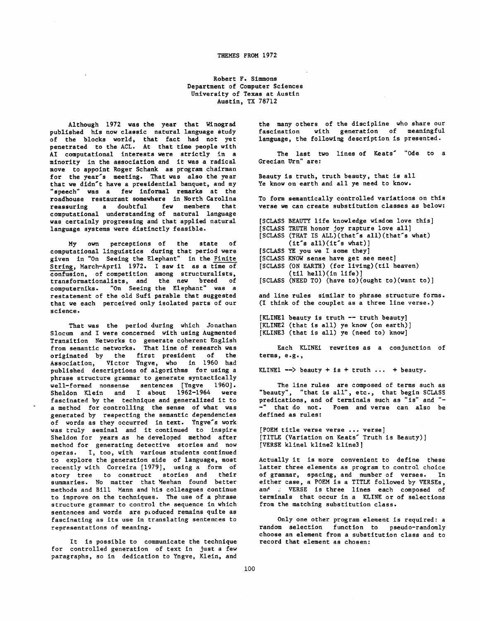## THEMES FROM 1972

Robert F. Simmons Department of Computer Sciences University of Texas at Austin Austin, TX 78712

Although 1972 was the year that Winograd published his now classic natural language study of the blocks world, that fact had not yet penetrated to the ACL. At that *time* people with AI computational interests were strictly in a minority in the association and it was a radical move to appoint Roger Schank as program chairman for the year's meeting. That was also the year that we didn't have a presidential banquet, and my "speech" was a few informal remarks at the roadhouse restaurant somewhere in North Carolina reassuring a doubtful few members that computational understanding of natural language was certainly progressing and that applied natural language systems were distinctly feasible.

My own perceptions of the state of computational linguistics during that period were given in "On Seeing the Elephant" in the Finite String, March-Aprll 1972. I saw it as a time of confusion, of competition among *structuralists, transformationallsts,* and the new breed of computernlks. "On Seeing the Elephant" was a *restatement of* the old Sufi parable *that* suggested that we each perceived only isolated parts of our science.

That was the period during which Jonathan Slocum and I were concerned with using Augmented Transition Networks to generate coherent English from semantic networks. That llne of research was originated by the first president of the Association, Victor Yngve, who in 1960 had published descriptions of algorithms for using a phrase structure grammar to generate syntactically well-formed nonsense sentences [Yngve 1960]. Sheldon Klein and I about 1962-1964 were fascinated by the technique and generalized it to a method for controlling the sense of what was generated by respecting the semantic dependencies of words as they occurred in text. Yngve's work was truly seminal and it continued to inspire Sheldon for years as he developed method after method for generating detective stories and now operas. I, too, with various students continued to explore the generation side of language, most recently with Correlra [1979], using a form of story tree to construct stories and their summaries. No matter *that* Meehan found better methods and Bill Mann and his colleagues continue to improve on the techniques. The use of a phrase structure grammar to control the sequence in which sentences and words are produced remains quite as fascinating as its use in translating sentences to representations of meaning.

It is possible to communicate the technique for controlled generation of text in Just a few paragraphs, so in dedication to Yngve, Klein, and

the many others of the discipline who share our fascination with generation of meaningful language, the following description is presented.

The last two lines of Keats' "Ode to a Grecian Urn" are:

Beauty is truth, truth beauty, *that* is all Ye know on earth and all ye need to know.

To form semantically controlled variations on this verse we can create *substitution* classes as below:

[SCLASS BEAUTY life knowledge wisdom love this] [SCLASS [SCLASS TRUTH honor Joy rapture love all] [SCLASS YE you we I some they] [SCLASS KNOW sense have get see meet] [SCLASS (ON EARTH) (for living)(til heaven) [SCLASS (NEED TO) (have to)(ought to)(want to)] (THAT IS ALL)(that's all)(that's what)  $(t<sup>t</sup>'s all)(it<sup>'s</sup> what)]$  $(t11$  hell $)(in$  life $))$ 

and line rules similar to phrase structure forms. (I think of the couplet as a three llne verse.)

[KLINE1 beauty is truth -- truth beauty] [KLINE2 (that is all) ye know (on earth)] [KLINE3 (that is all) ye (need to) know]

Each KLINEi rewrites as a conjunction of terms, e.g.,

KLINE1  $\rightarrow$  beauty + is + truth ... + beauty.

The line rules are composed of terms such as "beauty", "that is all", etc., that begin SCLASS predications, and of terminals such as "is" and "- -" that do not. Poem and verse can also be defined as rules:

[POEM title verse verse ... verse] [TITLE (Variation on Keats" Truth is Beauty)] [VERSE klinel kllne2 kllne3]

Actually it is more convenient to define these latter three elements as program to control choice of grammar, spacing, and number of verses. In either case, a POEM is a TITLE followed by VERSEs, and . VERSE is three lines each composed of terminals that occur in a KLINE or of selections from the matching substitution class.

Only one other program element is required: a random selection function to pseudo-randomly choose an element from a substitution class and to record that element as chosen: